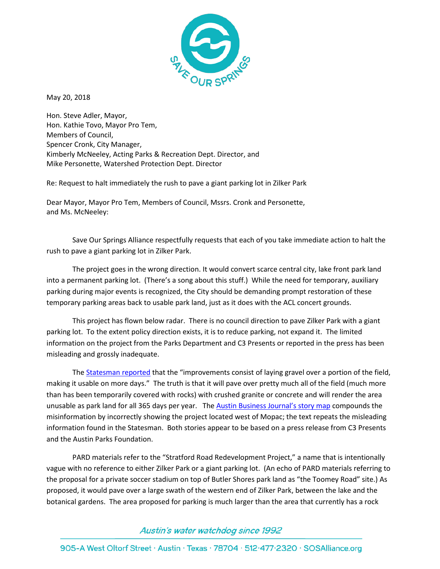

May 20, 2018

Hon. Steve Adler, Mayor, Hon. Kathie Tovo, Mayor Pro Tem, Members of Council, Spencer Cronk, City Manager, Kimberly McNeeley, Acting Parks & Recreation Dept. Director, and Mike Personette, Watershed Protection Dept. Director

Re: Request to halt immediately the rush to pave a giant parking lot in Zilker Park

Dear Mayor, Mayor Pro Tem, Members of Council, Mssrs. Cronk and Personette, and Ms. McNeeley:

Save Our Springs Alliance respectfully requests that each of you take immediate action to halt the rush to pave a giant parking lot in Zilker Park.

The project goes in the wrong direction. It would convert scarce central city, lake front park land into a permanent parking lot. (There's a song about this stuff.) While the need for temporary, auxiliary parking during major events is recognized, the City should be demanding prompt restoration of these temporary parking areas back to usable park land, just as it does with the ACL concert grounds.

This project has flown below radar. There is no council direction to pave Zilker Park with a giant parking lot. To the extent policy direction exists, it is to reduce parking, not expand it. The limited information on the project from the Parks Department and C3 Presents or reported in the press has been misleading and grossly inadequate.

The [Statesman reported](https://www.mystatesman.com/news/local-govt--politics/zilker-park-get-million-from-acl-fest-promoter-for-upgrade/ScxASXEjnK3KSWonfY4NqI/) that the "improvements consist of laying gravel over a portion of the field, making it usable on more days." The truth is that it will pave over pretty much all of the field (much more than has been temporarily covered with rocks) with crushed granite or concrete and will render the area unusable as park land for all 365 days per year. The **Austin Business Journal's story map** compounds the misinformation by incorrectly showing the project located west of Mopac; the text repeats the misleading information found in the Statesman. Both stories appear to be based on a press release from C3 Presents and the Austin Parks Foundation.

PARD materials refer to the "Stratford Road Redevelopment Project," a name that is intentionally vague with no reference to either Zilker Park or a giant parking lot. (An echo of PARD materials referring to the proposal for a private soccer stadium on top of Butler Shores park land as "the Toomey Road" site.) As proposed, it would pave over a large swath of the western end of Zilker Park, between the lake and the botanical gardens. The area proposed for parking is much larger than the area that currently has a rock

## Austin's water watchdog since 1992